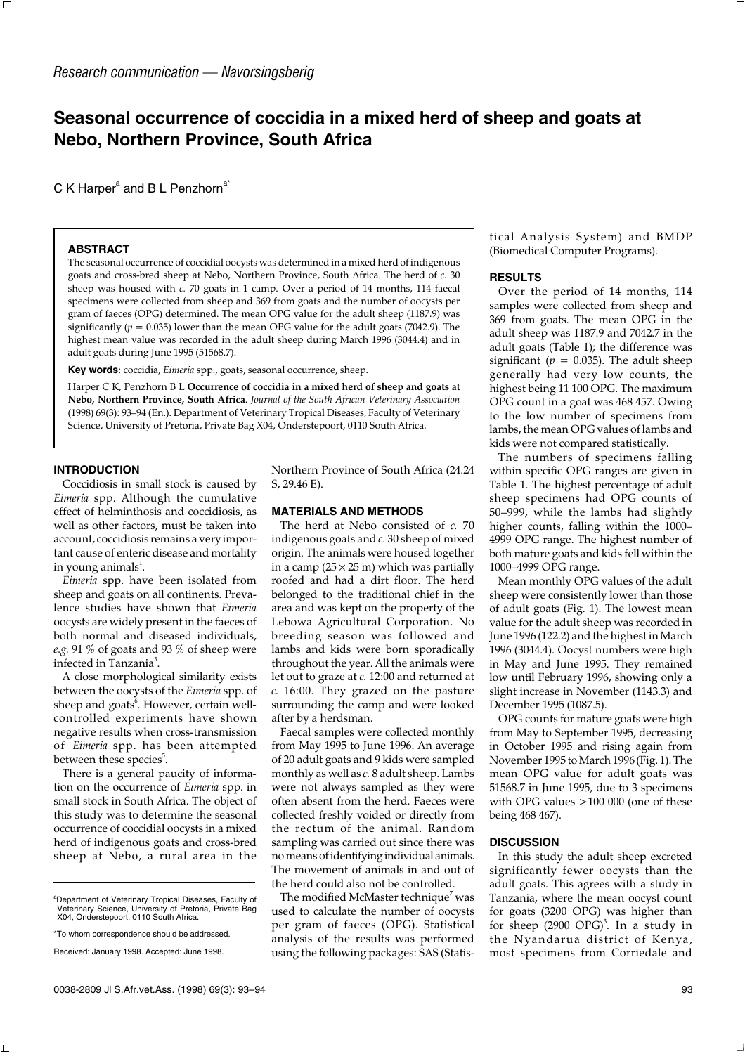# **Seasonal occurrence of coccidia in a mixed herd of sheep and goats at Nebo, Northern Province, South Africa**

C K Harper<sup>a</sup> and B L Penzhorn<sup>a\*</sup>

## **ABSTRACT**

The seasonal occurrence of coccidial oocysts was determined in a mixed herd of indigenous goats and cross-bred sheep at Nebo, Northern Province, South Africa. The herd of *c.* 30 sheep was housed with *c.* 70 goats in 1 camp. Over a period of 14 months, 114 faecal specimens were collected from sheep and 369 from goats and the number of oocysts per gram of faeces (OPG) determined. The mean OPG value for the adult sheep (1187.9) was significantly ( $p = 0.035$ ) lower than the mean OPG value for the adult goats (7042.9). The highest mean value was recorded in the adult sheep during March 1996 (3044.4) and in adult goats during June 1995 (51568.7).

**Key words**: coccidia, *Eimeria* spp., goats, seasonal occurrence, sheep.

Harper C K, Penzhorn B L **Occurrence of coccidia in a mixed herd of sheep and goats at Nebo, Northern Province, South Africa**. *Journal of the South African Veterinary Association* (1998) 69(3): 93–94 (En.). Department of Veterinary Tropical Diseases, Faculty of Veterinary Science, University of Pretoria, Private Bag X04, Onderstepoort, 0110 South Africa.

### **INTRODUCTION**

Coccidiosis in small stock is caused by *Eimeria* spp. Although the cumulative effect of helminthosis and coccidiosis, as well as other factors, must be taken into account, coccidiosis remains a very important cause of enteric disease and mortality in young animals $^1$ .

*Eimeria* spp. have been isolated from sheep and goats on all continents. Prevalence studies have shown that *Eimeria* oocysts are widely present in the faeces of both normal and diseased individuals, *e.g.* 91 % of goats and 93 % of sheep were infected in Tanzania<sup>3</sup>.

A close morphological similarity exists between the oocysts of the *Eimeria* spp. of sheep and goats<sup>6</sup>. However, certain wellcontrolled experiments have shown negative results when cross-transmission of *Eimeria* spp. has been attempted between these species<sup>5</sup>.

There is a general paucity of information on the occurrence of *Eimeria* spp. in small stock in South Africa. The object of this study was to determine the seasonal occurrence of coccidial oocysts in a mixed herd of indigenous goats and cross-bred sheep at Nebo, a rural area in the Northern Province of South Africa (24.24 S, 29.46 E).

#### **MATERIALS AND METHODS**

The herd at Nebo consisted of *c.* 70 indigenous goats and *c.* 30 sheep of mixed origin. The animals were housed together in a camp ( $25 \times 25$  m) which was partially roofed and had a dirt floor. The herd belonged to the traditional chief in the area and was kept on the property of the Lebowa Agricultural Corporation. No breeding season was followed and lambs and kids were born sporadically throughout the year. All the animals were let out to graze at *c.* 12:00 and returned at *c.* 16:00. They grazed on the pasture surrounding the camp and were looked after by a herdsman.

Faecal samples were collected monthly from May 1995 to June 1996. An average of 20 adult goats and 9 kids were sampled monthly as well as *c.* 8 adult sheep. Lambs were not always sampled as they were often absent from the herd. Faeces were collected freshly voided or directly from the rectum of the animal. Random sampling was carried out since there was no means of identifying individual animals. The movement of animals in and out of the herd could also not be controlled.

The modified McMaster technique $^7$  was used to calculate the number of oocysts per gram of faeces (OPG). Statistical analysis of the results was performed using the following packages: SAS (Statistical Analysis System) and BMDP (Biomedical Computer Programs).

## **RESULTS**

Over the period of 14 months, 114 samples were collected from sheep and 369 from goats. The mean OPG in the adult sheep was 1187.9 and 7042.7 in the adult goats (Table 1); the difference was significant ( $p = 0.035$ ). The adult sheep generally had very low counts, the highest being 11 100 OPG. The maximum OPG count in a goat was 468 457. Owing to the low number of specimens from lambs, the mean OPG values of lambs and kids were not compared statistically.

The numbers of specimens falling within specific OPG ranges are given in Table 1. The highest percentage of adult sheep specimens had OPG counts of 50–999, while the lambs had slightly higher counts, falling within the 1000– 4999 OPG range. The highest number of both mature goats and kids fell within the 1000–4999 OPG range.

Mean monthly OPG values of the adult sheep were consistently lower than those of adult goats (Fig. 1). The lowest mean value for the adult sheep was recorded in June 1996 (122.2) and the highest in March 1996 (3044.4). Oocyst numbers were high in May and June 1995. They remained low until February 1996, showing only a slight increase in November (1143.3) and December 1995 (1087.5).

OPG counts for mature goats were high from May to September 1995, decreasing in October 1995 and rising again from November 1995 to March 1996 (Fig. 1). The mean OPG value for adult goats was 51568.7 in June 1995, due to 3 specimens with OPG values >100 000 (one of these being 468 467).

#### **DISCUSSION**

In this study the adult sheep excreted significantly fewer oocysts than the adult goats. This agrees with a study in Tanzania, where the mean oocyst count for goats (3200 OPG) was higher than for sheep (2900 OPG)<sup>3</sup>. In a study in the Nyandarua district of Kenya, most specimens from Corriedale and

<sup>&</sup>lt;sup>a</sup>Department of Veterinary Tropical Diseases, Faculty of Veterinary Science, University of Pretoria, Private Bag X04, Onderstepoort, 0110 South Africa.

<sup>\*</sup>To whom correspondence should be addressed.

Received: January 1998. Accepted: June 1998.